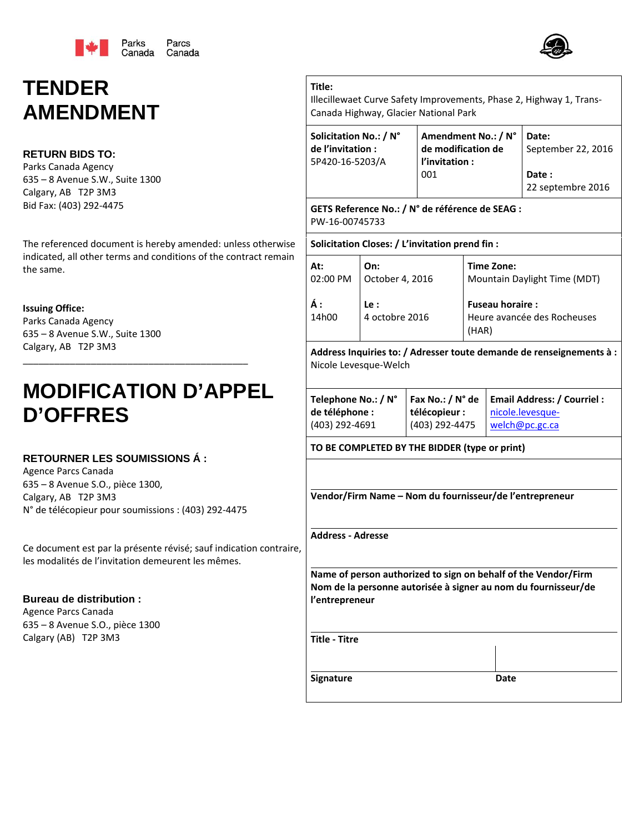

# **TENDER AMENDMENT**

# **RETURN BIDS TO:**

Parks Canada Agency 635 – 8 Avenue S.W., Suite 1300 Calgary, AB T2P 3M3 Bid Fax: (403) 292‐4475

The referenced document is hereby amended: unless otherwise indicated, all other terms and conditions of the contract remain the same.

### **Issuing Office:**

Parks Canada Agency 635 – 8 Avenue S.W., Suite 1300 Calgary, AB T2P 3M3

# **MODIFICATION D'APPEL D'OFFRES**

\_\_\_\_\_\_\_\_\_\_\_\_\_\_\_\_\_\_\_\_\_\_\_\_\_\_\_\_\_\_\_\_\_\_\_\_\_\_\_\_\_\_\_

## **RETOURNER LES SOUMISSIONS Á :**

Agence Parcs Canada 635 – 8 Avenue S.O., pièce 1300, Calgary, AB T2P 3M3 N° de télécopieur pour soumissions : (403) 292‐4475

Ce document est par la présente révisé; sauf indication contraire, les modalités de l'invitation demeurent les mêmes.

## **Bureau de distribution :**

Agence Parcs Canada 635 – 8 Avenue S.O., pièce 1300 Calgary (AB) T2P 3M3

Illecillewaet Curve Safety Improvements, Phase 2, Highway 1, Trans‐ Canada Highway, Glacier National Park

| Solicitation No.: / N° | Amendment No.: / N° | Date:              |
|------------------------|---------------------|--------------------|
| de l'invitation :      | de modification de  | September 22, 2016 |
| 5P420-16-5203/A        | l'invitation :      |                    |
|                        | 001                 | Date:              |
|                        |                     | 22 septembre 2016  |

**GETS Reference No.: / N° de référence de SEAG :** PW‐16‐00745733

#### **Solicitation Closes: / L'invitation prend fin :**

**Title:**

| At:         | On:                   | Time Zone:                                                     |
|-------------|-----------------------|----------------------------------------------------------------|
| 02:00 PM    | October 4, 2016       | Mountain Daylight Time (MDT)                                   |
| Á:<br>14h00 | Le:<br>4 octobre 2016 | <b>Fuseau horaire:</b><br>Heure avancée des Rocheuses<br>(HAR) |

**Address Inquiries to: / Adresser toute demande de renseignements à :** Nicole Levesque‐Welch

| Telephone No.: / N° |                | Fax No.: / N° de   Email Address: / Courriel : |
|---------------------|----------------|------------------------------------------------|
| de téléphone :      | télécopieur :  | nicole.levesque-                               |
| (403) 292-4691      | (403) 292-4475 | welch@pc.gc.ca                                 |

#### **TO BE COMPLETED BY THE BIDDER (type or print)**

**Vendor/Firm Name – Nom du fournisseur/de l'entrepreneur**

**Address ‐ Adresse**

**Name of person authorized to sign on behalf of the Vendor/Firm Nom de la personne autorisée à signer au nom du fournisseur/de l'entrepreneur**

**Title ‐ Titre**

**Signature Date**

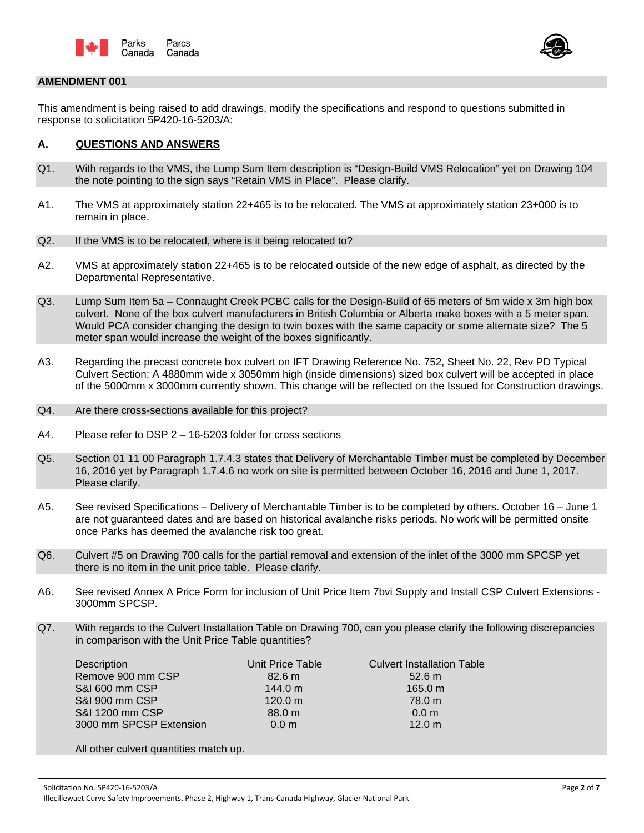



#### **AMENDMENT 001**

This amendment is being raised to add drawings, modify the specifications and respond to questions submitted in response to solicitation 5P420-16-5203/A:

#### **A. QUESTIONS AND ANSWERS**

- Q1. With regards to the VMS, the Lump Sum Item description is "Design-Build VMS Relocation" yet on Drawing 104 the note pointing to the sign says "Retain VMS in Place". Please clarify.
- A1. The VMS at approximately station 22+465 is to be relocated. The VMS at approximately station 23+000 is to remain in place.
- Q2. If the VMS is to be relocated, where is it being relocated to?
- A2. VMS at approximately station 22+465 is to be relocated outside of the new edge of asphalt, as directed by the Departmental Representative.
- Q3. Lump Sum Item 5a Connaught Creek PCBC calls for the Design-Build of 65 meters of 5m wide x 3m high box culvert. None of the box culvert manufacturers in British Columbia or Alberta make boxes with a 5 meter span. Would PCA consider changing the design to twin boxes with the same capacity or some alternate size? The 5 meter span would increase the weight of the boxes significantly.
- A3. Regarding the precast concrete box culvert on IFT Drawing Reference No. 752, Sheet No. 22, Rev PD Typical Culvert Section: A 4880mm wide x 3050mm high (inside dimensions) sized box culvert will be accepted in place of the 5000mm x 3000mm currently shown. This change will be reflected on the Issued for Construction drawings.
- Q4. Are there cross-sections available for this project?
- A4. Please refer to DSP 2 16-5203 folder for cross sections
- Q5. Section 01 11 00 Paragraph 1.7.4.3 states that Delivery of Merchantable Timber must be completed by December 16, 2016 yet by Paragraph 1.7.4.6 no work on site is permitted between October 16, 2016 and June 1, 2017. Please clarify.
- A5. See revised Specifications Delivery of Merchantable Timber is to be completed by others. October 16 June 1 are not guaranteed dates and are based on historical avalanche risks periods. No work will be permitted onsite once Parks has deemed the avalanche risk too great.
- Q6. Culvert #5 on Drawing 700 calls for the partial removal and extension of the inlet of the 3000 mm SPCSP yet there is no item in the unit price table. Please clarify.
- A6. See revised Annex A Price Form for inclusion of Unit Price Item 7bvi Supply and Install CSP Culvert Extensions 3000mm SPCSP.
- Q7. With regards to the Culvert Installation Table on Drawing 700, can you please clarify the following discrepancies in comparison with the Unit Price Table quantities?

| Description             | Unit Price Table | <b>Culvert Installation Table</b> |
|-------------------------|------------------|-----------------------------------|
| Remove 900 mm CSP       | 82.6 m           | 52.6 m                            |
| S&I 600 mm CSP          | 144.0 m          | 165.0 m                           |
| S&I 900 mm CSP          | 120.0 m          | 78.0 m                            |
| S&I 1200 mm CSP         | 88.0 m           | 0.0 <sub>m</sub>                  |
| 3000 mm SPCSP Extension | 0.0 <sub>m</sub> | 12.0 m                            |
|                         |                  |                                   |

All other culvert quantities match up.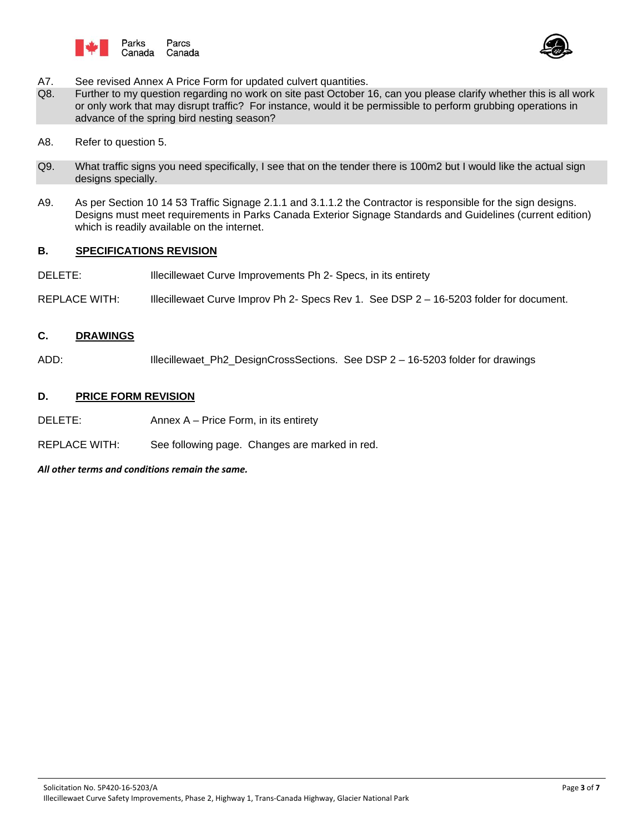



- A7. See revised Annex A Price Form for updated culvert quantities.
- Q8. Further to my question regarding no work on site past October 16, can you please clarify whether this is all work or only work that may disrupt traffic? For instance, would it be permissible to perform grubbing operations in advance of the spring bird nesting season?
- A8. Refer to question 5.
- Q9. What traffic signs you need specifically, I see that on the tender there is 100m2 but I would like the actual sign designs specially.
- A9. As per Section 10 14 53 Traffic Signage 2.1.1 and 3.1.1.2 the Contractor is responsible for the sign designs. Designs must meet requirements in Parks Canada Exterior Signage Standards and Guidelines (current edition) which is readily available on the internet.

#### **B. SPECIFICATIONS REVISION**

- DELETE: **Illecillewaet Curve Improvements Ph 2- Specs, in its entirety**
- REPLACE WITH: Illecillewaet Curve Improv Ph 2- Specs Rev 1. See DSP 2 16-5203 folder for document.

### **C. DRAWINGS**

ADD: Illecillewaet\_Ph2\_DesignCrossSections. See DSP 2 – 16-5203 folder for drawings

#### **D. PRICE FORM REVISION**

DELETE: Annex A – Price Form, in its entirety

REPLACE WITH: See following page. Changes are marked in red.

*All other terms and conditions remain the same.*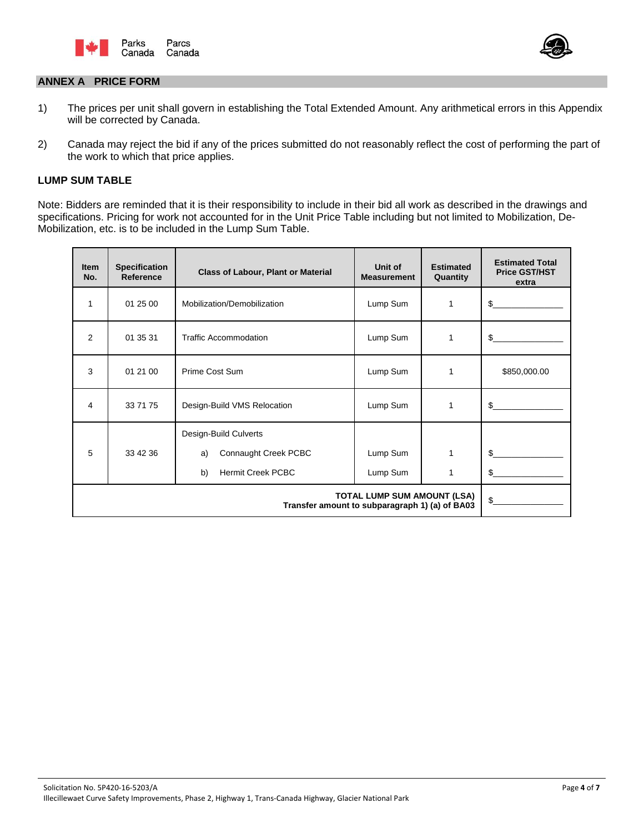



#### **ANNEX A PRICE FORM**

- 1) The prices per unit shall govern in establishing the Total Extended Amount. Any arithmetical errors in this Appendix will be corrected by Canada.
- 2) Canada may reject the bid if any of the prices submitted do not reasonably reflect the cost of performing the part of the work to which that price applies.

#### **LUMP SUM TABLE**

Note: Bidders are reminded that it is their responsibility to include in their bid all work as described in the drawings and specifications. Pricing for work not accounted for in the Unit Price Table including but not limited to Mobilization, De-Mobilization, etc. is to be included in the Lump Sum Table.

| <b>Item</b><br>No. | <b>Specification</b><br><b>Reference</b> | <b>Class of Labour, Plant or Material</b>                                             | Unit of<br><b>Measurement</b> | <b>Estimated</b><br>Quantity | <b>Estimated Total</b><br><b>Price GST/HST</b><br>extra |
|--------------------|------------------------------------------|---------------------------------------------------------------------------------------|-------------------------------|------------------------------|---------------------------------------------------------|
| 1                  | 01 25 00                                 | Mobilization/Demobilization                                                           | Lump Sum                      | 1                            | \$                                                      |
| 2                  | 01 35 31                                 | <b>Traffic Accommodation</b>                                                          | Lump Sum                      | 1                            | \$                                                      |
| 3                  | 01 21 00                                 | Prime Cost Sum                                                                        | Lump Sum                      | 1                            | \$850,000.00                                            |
| 4                  | 33 71 75                                 | Design-Build VMS Relocation                                                           | Lump Sum                      | 1                            | \$                                                      |
| 5                  | 33 42 36                                 | Design-Build Culverts<br>Connaught Creek PCBC<br>a)<br>b)<br><b>Hermit Creek PCBC</b> | Lump Sum<br>Lump Sum          | 1<br>1                       | \$<br>\$.                                               |
|                    | \$                                       |                                                                                       |                               |                              |                                                         |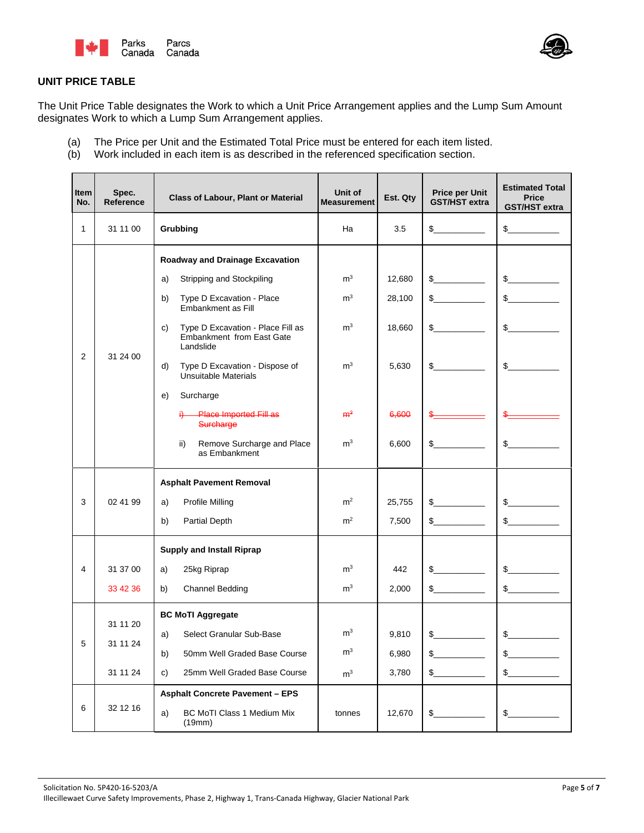



# **UNIT PRICE TABLE**

The Unit Price Table designates the Work to which a Unit Price Arrangement applies and the Lump Sum Amount designates Work to which a Lump Sum Arrangement applies.

- The Price per Unit and the Estimated Total Price must be entered for each item listed.  $(a)$
- $(b)$ Work included in each item is as described in the referenced specification section.

| Item<br>No.  | Spec.<br><b>Reference</b>        | <b>Class of Labour, Plant or Material</b>                                                                                                                                                                                                                                                                                                                                                                            | Unit of<br><b>Measurement</b>                                                                            | Est. Qty                                              | <b>Price per Unit</b><br><b>GST/HST extra</b>             | <b>Estimated Total</b><br><b>Price</b><br><b>GST/HST extra</b> |
|--------------|----------------------------------|----------------------------------------------------------------------------------------------------------------------------------------------------------------------------------------------------------------------------------------------------------------------------------------------------------------------------------------------------------------------------------------------------------------------|----------------------------------------------------------------------------------------------------------|-------------------------------------------------------|-----------------------------------------------------------|----------------------------------------------------------------|
| $\mathbf{1}$ | 31 11 00                         | Grubbing                                                                                                                                                                                                                                                                                                                                                                                                             | Ha                                                                                                       | 3.5                                                   |                                                           | $\frac{1}{2}$                                                  |
| 2            | 31 24 00                         | Roadway and Drainage Excavation<br>Stripping and Stockpiling<br>a)<br>Type D Excavation - Place<br>b)<br>Embankment as Fill<br>Type D Excavation - Place Fill as<br>C)<br><b>Embankment from East Gate</b><br>Landslide<br>d)<br>Type D Excavation - Dispose of<br>Unsuitable Materials<br>e)<br>Surcharge<br><b>Place Imported Fill as</b><br>ä.<br>Surcharge<br>ii)<br>Remove Surcharge and Place<br>as Embankment | m <sup>3</sup><br>m <sup>3</sup><br>m <sup>3</sup><br>m <sup>3</sup><br>m <sup>3</sup><br>m <sup>3</sup> | 12.680<br>28,100<br>18,660<br>5,630<br>6,600<br>6,600 | $\frac{1}{2}$<br>$\mathbb S$<br>\$<br>$\frac{1}{2}$<br>\$ | s<br>$\frac{1}{2}$<br>$\sim$<br>$\sim$<br>$\mathbb{S}$         |
| 3            | 02 41 99                         | <b>Asphalt Pavement Removal</b><br>Profile Milling<br>a)<br>b)<br>Partial Depth                                                                                                                                                                                                                                                                                                                                      | m <sup>2</sup><br>m <sup>2</sup>                                                                         | 25,755<br>7,500                                       | \$<br>\$                                                  | $\frac{1}{2}$<br>s                                             |
| 4            | 31 37 00<br>33 42 36             | <b>Supply and Install Riprap</b><br>25kg Riprap<br>a)<br><b>Channel Bedding</b><br>b)                                                                                                                                                                                                                                                                                                                                | m <sup>3</sup><br>m <sup>3</sup>                                                                         | 442<br>2,000                                          | $\frac{1}{\sqrt{2}}$<br>\$                                | $\frac{1}{2}$<br>$\frac{1}{2}$                                 |
|              | 31 11 20<br>31 11 24<br>31 11 24 | <b>BC MoTI Aggregate</b><br>Select Granular Sub-Base<br>a)<br>50mm Well Graded Base Course<br>b)<br>25mm Well Graded Base Course<br>c)<br><b>Asphalt Concrete Pavement - EPS</b>                                                                                                                                                                                                                                     | m <sup>3</sup><br>$\mathsf{m}^3$<br>m <sup>3</sup>                                                       | 9,810<br>6,980<br>3,780                               | $\mathbb{S}$<br>\$<br>$\frac{2}{2}$                       | $\frac{1}{2}$<br>$\frac{1}{2}$<br>$\frac{1}{2}$                |
| 6            | 32 12 16                         | BC MoTI Class 1 Medium Mix<br>a)<br>(19mm)                                                                                                                                                                                                                                                                                                                                                                           | tonnes                                                                                                   | 12,670                                                | $\frac{1}{2}$                                             | $\frac{1}{2}$                                                  |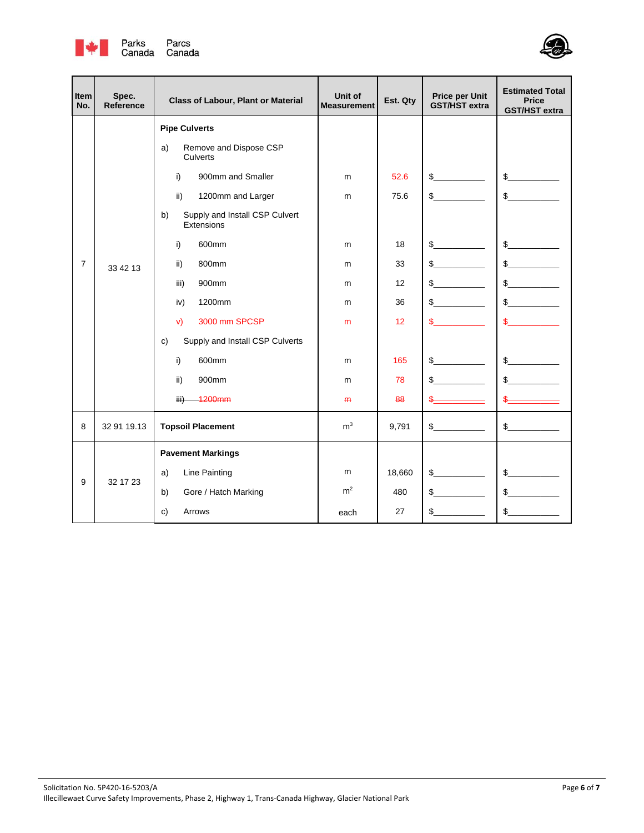



| Item<br>No.    | Spec.<br><b>Reference</b> | <b>Class of Labour, Plant or Material</b>                                                                                                                                                                                                                                                                                                               | Unit of<br><b>Measurement</b>             | Est. Qty                                                             | <b>Price per Unit</b><br><b>GST/HST extra</b>                                                         | <b>Estimated Total</b><br><b>Price</b><br><b>GST/HST extra</b>                                                                  |
|----------------|---------------------------|---------------------------------------------------------------------------------------------------------------------------------------------------------------------------------------------------------------------------------------------------------------------------------------------------------------------------------------------------------|-------------------------------------------|----------------------------------------------------------------------|-------------------------------------------------------------------------------------------------------|---------------------------------------------------------------------------------------------------------------------------------|
| $\overline{7}$ | 33 42 13                  | <b>Pipe Culverts</b><br>Remove and Dispose CSP<br>a)<br>Culverts<br>i)<br>900mm and Smaller<br>ii)<br>1200mm and Larger<br>Supply and Install CSP Culvert<br>b)<br>Extensions<br>i)<br>600mm<br>800mm<br>ii)<br>900mm<br>iii)<br>iv)<br>1200mm<br>3000 mm SPCSP<br>V)<br>Supply and Install CSP Culverts<br>C)<br>600mm<br>i)<br>ii)<br>900mm<br>1200mm | m<br>m<br>m<br>m<br>m<br>m<br>m<br>m<br>m | 52.6<br>75.6<br>18<br>33<br>12<br>36<br>12 <sup>2</sup><br>165<br>78 | $\mathbb{S}$<br>$\mathbb{S}$<br>$\mathbb{S}$<br>$\mathbb{S}$<br>\$<br>\$<br>\$.<br>$\mathbb{S}$<br>\$ | $\mathbb{S}$<br>$\frac{1}{2}$<br>$\mathbb{S}$<br>$\frac{1}{2}$<br>$\frac{2}{2}$<br>$\mathbb{S}$<br>$\mathbb{S}$<br>$\sim$<br>\$ |
| 8              | 32 91 19.13               | iii)<br><b>Topsoil Placement</b>                                                                                                                                                                                                                                                                                                                        | H <sub>H</sub><br>m <sup>3</sup>          | 88<br>9,791                                                          | \$                                                                                                    | $\frac{1}{2}$                                                                                                                   |
| 9              | 32 17 23                  | <b>Pavement Markings</b><br>a)<br>Line Painting<br>Gore / Hatch Marking<br>b)<br>C)<br>Arrows                                                                                                                                                                                                                                                           | m<br>m <sup>2</sup><br>each               | 18,660<br>480<br>27                                                  | $\mathbb{S}$<br>$\mathbb{S}$<br>\$                                                                    | $\sim$<br>$\mathbb{S}$<br>\$                                                                                                    |